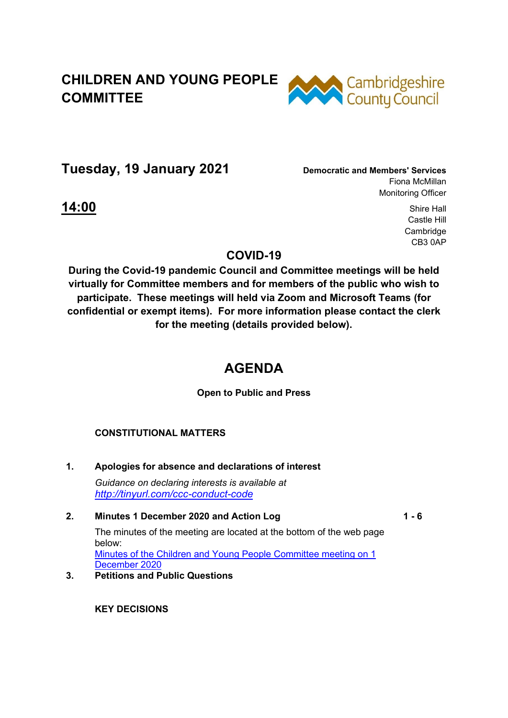# **CHILDREN AND YOUNG PEOPLE COMMITTEE**



**Tuesday, 19 January 2021 Democratic and Members' Services**

Fiona McMillan Monitoring Officer

**14:00** Shire Hall Castle Hill Cambridge CB3 0AP

### **COVID-19**

**During the Covid-19 pandemic Council and Committee meetings will be held virtually for Committee members and for members of the public who wish to participate. These meetings will held via Zoom and Microsoft Teams (for confidential or exempt items). For more information please contact the clerk for the meeting (details provided below).** 

## **AGENDA**

**Open to Public and Press** 

#### **CONSTITUTIONAL MATTERS**

**1. Apologies for absence and declarations of interest**  *Guidance on declaring interests is available at <http://tinyurl.com/ccc-conduct-code>*

#### **2. Minutes 1 December 2020 and Action Log**

**1 - 6**

The minutes of the meeting are located at the bottom of the web page below: [Minutes of the Children and Young People Committee meeting on 1](https://cambridgeshire.cmis.uk.com/ccc_live/Meetings/tabid/70/ctl/ViewMeetingPublic/mid/397/Meeting/1374/Committee/4/SelectedTab/Documents/Default.aspx) 

[December 2020](https://cambridgeshire.cmis.uk.com/ccc_live/Meetings/tabid/70/ctl/ViewMeetingPublic/mid/397/Meeting/1374/Committee/4/SelectedTab/Documents/Default.aspx) **3. Petitions and Public Questions** 

**KEY DECISIONS**